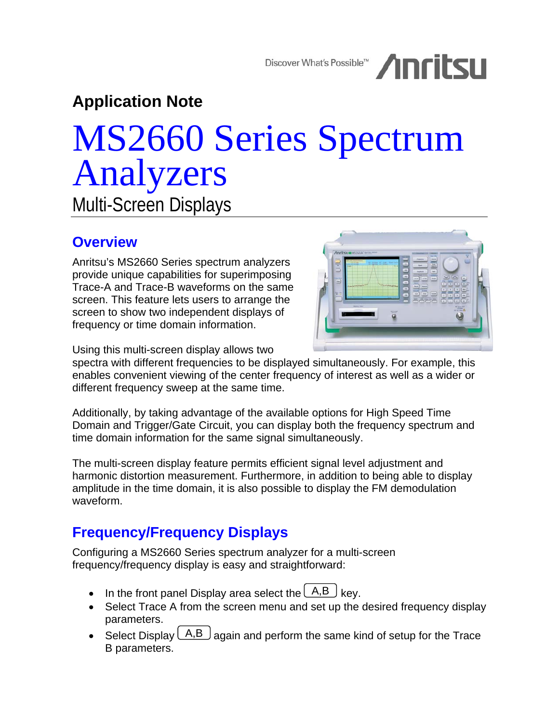Discover What's Possible<sup>TM</sup> /InritsII

**Application Note** 

# MS2660 Series Spectrum Analyzers Multi-Screen Displays

### **Overview**

Anritsu's MS2660 Series spectrum analyzers provide unique capabilities for superimposing Trace-A and Trace-B waveforms on the same screen. This feature lets users to arrange the screen to show two independent displays of frequency or time domain information.



Using this multi-screen display allows two

spectra with different frequencies to be displayed simultaneously. For example, this enables convenient viewing of the center frequency of interest as well as a wider or different frequency sweep at the same time.

Additionally, by taking advantage of the available options for High Speed Time Domain and Trigger/Gate Circuit, you can display both the frequency spectrum and time domain information for the same signal simultaneously.

The multi-screen display feature permits efficient signal level adjustment and harmonic distortion measurement. Furthermore, in addition to being able to display amplitude in the time domain, it is also possible to display the FM demodulation waveform.

## **Frequency/Frequency Displays**

Configuring a MS2660 Series spectrum analyzer for a multi-screen frequency/frequency display is easy and straightforward:

- In the front panel Display area select the  $\overline{(A,B)}$  key.
- Select Trace A from the screen menu and set up the desired frequency display parameters.
- Select Display  $\lfloor A,B \rfloor$  again and perform the same kind of setup for the Trace B parameters.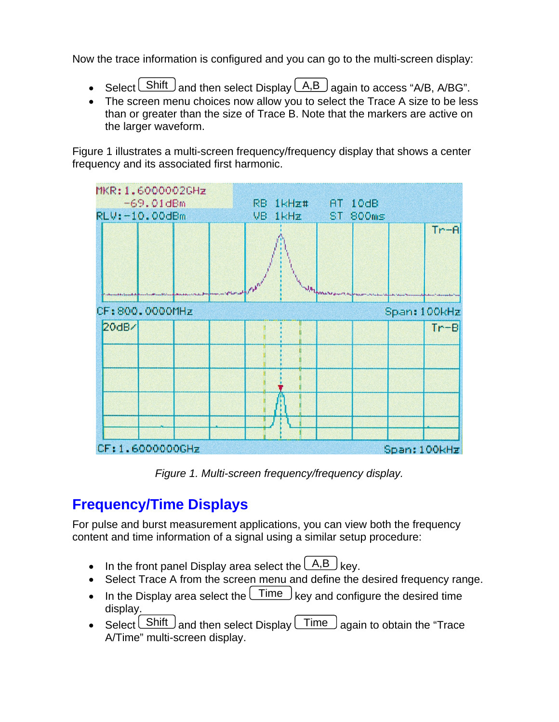Now the trace information is configured and you can go to the multi-screen display:

- Select  $S$ hift and then select Display  $(A,B)$  again to access "A/B, A/BG".
- The screen menu choices now allow you to select the Trace A size to be less than or greater than the size of Trace B. Note that the markers are active on the larger waveform.

Figure 1 illustrates a multi-screen frequency/frequency display that shows a center frequency and its associated first harmonic.



*Figure 1. Multi-screen frequency/frequency display.* 

## **Frequency/Time Displays**

For pulse and burst measurement applications, you can view both the frequency content and time information of a signal using a similar setup procedure:

- In the front panel Display area select the  $\lfloor A,B \rfloor$  key.
- Select Trace A from the screen menu and define the desired frequency range.
- In the Display area select the  $\lfloor$  Time  $\rfloor$  key and configure the desired time display.
- Select  $\overline{\text{Shift}}$  and then select Display  $\overline{\text{Time}}$  again to obtain the "Trace A/Time" multi-screen display.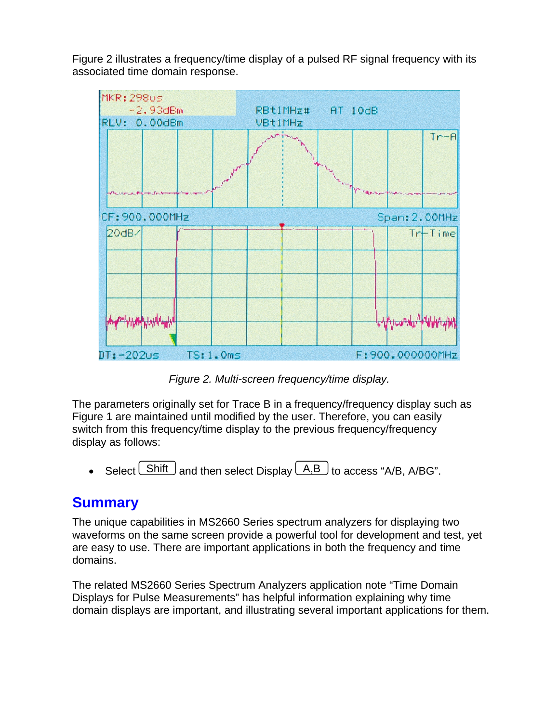Figure 2 illustrates a frequency/time display of a pulsed RF signal frequency with its associated time domain response.



*Figure 2. Multi-screen frequency/time display.*

The parameters originally set for Trace B in a frequency/frequency display such as Figure 1 are maintained until modified by the user. Therefore, you can easily switch from this frequency/time display to the previous frequency/frequency display as follows:

• Select  $\boxed{\text{Shift}}$  and then select Display  $\boxed{\text{A,B}}$  to access "A/B, A/BG".

#### **Summary**

The unique capabilities in MS2660 Series spectrum analyzers for displaying two waveforms on the same screen provide a powerful tool for development and test, yet are easy to use. There are important applications in both the frequency and time domains.

The related MS2660 Series Spectrum Analyzers application note "Time Domain Displays for Pulse Measurements" has helpful information explaining why time domain displays are important, and illustrating several important applications for them.